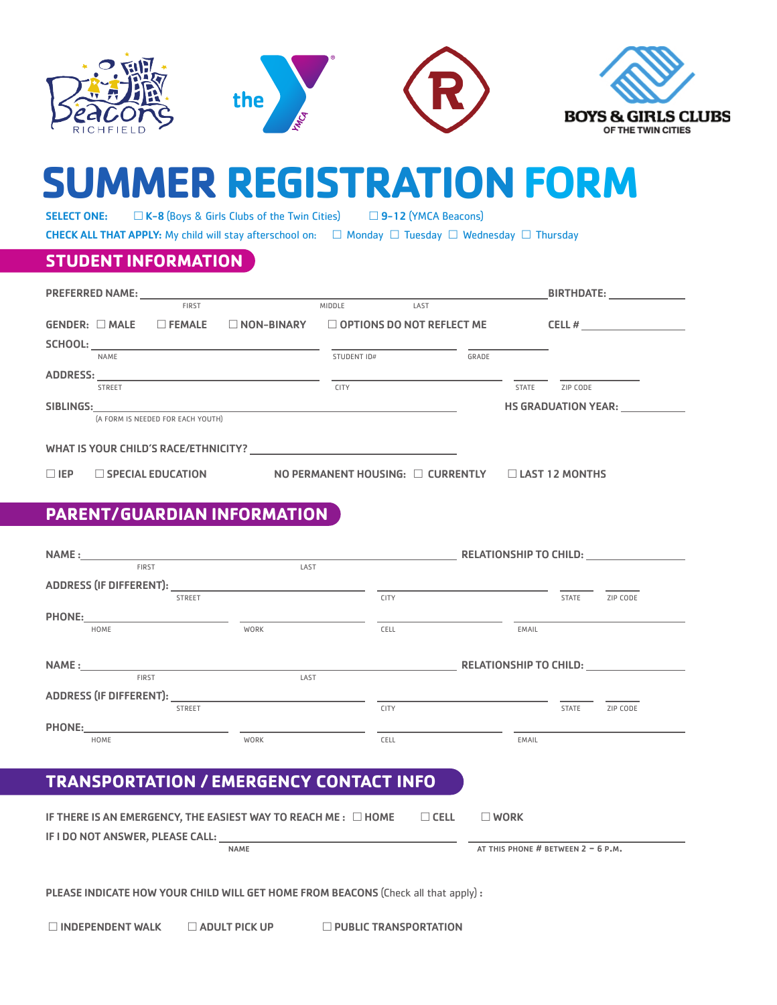

# **SUMMER REGISTRATION FORM**

SELECT ONE: □ K-8 (Boys & Girls Clubs of the Twin Cities) □ 9-12 (YMCA Beacons)

**CHECK ALL THAT APPLY:** My child will stay afterschool on:  $\Box$  Monday  $\Box$  Tuesday  $\Box$  Wednesday  $\Box$  Thursday

## **STUDENT INFORMATION**

| <b>PREFERRED NAME:</b> |               |                                   | <u> 1989 - Andrea Andrea Andrea Andrea Andrea Andrea Andrea Andrea Andrea Andrea Andrea Andrea Andrea Andrea Andr</u> |                                  |      |       |              | <b>BIRTHDATE:</b>          |  |
|------------------------|---------------|-----------------------------------|-----------------------------------------------------------------------------------------------------------------------|----------------------------------|------|-------|--------------|----------------------------|--|
|                        |               | <b>FIRST</b>                      |                                                                                                                       | MIDDLE                           | LAST |       |              |                            |  |
| $GENDER: \Box MALE$    |               | $\Box$ FEMALE                     | $\Box$ NON-BINARY                                                                                                     | $\Box$ OPTIONS DO NOT REFLECT ME |      |       |              | CELL #                     |  |
| SCHOOL:                |               |                                   | <u> 1999 - Jan James Alexander (f. 1989)</u>                                                                          |                                  |      |       |              |                            |  |
|                        | <b>NAME</b>   |                                   |                                                                                                                       | STUDENT ID#                      |      | GRADE |              |                            |  |
|                        |               |                                   |                                                                                                                       |                                  |      |       |              |                            |  |
|                        | <b>STREET</b> |                                   |                                                                                                                       | <b>CITY</b>                      |      |       | <b>STATE</b> | ZIP CODE                   |  |
| SIBLINGS:              |               |                                   | <u> 1989 - Jan Sterling Sterling (d. 1989)</u>                                                                        |                                  |      |       |              | <b>HS GRADUATION YEAR:</b> |  |
|                        |               | (A FORM IS NEEDED FOR EACH YOUTH) |                                                                                                                       |                                  |      |       |              |                            |  |
|                        |               |                                   |                                                                                                                       |                                  |      |       |              |                            |  |
|                        |               |                                   |                                                                                                                       |                                  |      |       |              |                            |  |
|                        |               |                                   |                                                                                                                       |                                  |      |       |              |                            |  |

 $\Box$  EP  $\Box$  SPECIAL EDUCATION NO PERMANENT HOUSING:  $\Box$  CURRENTLY  $\Box$  LAST 12 MONTHS

## **PARENT/ GUARDIAN INFORMATION**

|               |                                                 |             | <b>RELATIONSHIP TO CHILD:</b> |          |
|---------------|-------------------------------------------------|-------------|-------------------------------|----------|
| <b>FIRST</b>  | LAST                                            |             |                               |          |
|               |                                                 |             |                               |          |
|               | <b>STREET</b>                                   | <b>CITY</b> | <b>STATE</b>                  | ZIP CODE |
| <b>PHONE:</b> |                                                 |             |                               |          |
| HOME          | WORK                                            | CELL        | EMAIL                         |          |
|               |                                                 |             |                               |          |
|               |                                                 |             |                               |          |
|               |                                                 |             | RELATIONSHIP TO CHILD:        |          |
| <b>FIRST</b>  | LAST                                            |             |                               |          |
|               | ADDRESS (IF DIFFERENT): ADDRESS (IF DIFFERENT): |             |                               |          |
|               | <b>STREET</b>                                   | <b>CITY</b> | <b>STATE</b>                  | ZIP CODE |
| <b>PHONE:</b> |                                                 |             |                               |          |
| HOME          | WORK                                            | CELL        | EMAIL                         |          |

# **TRANSPORTATION / EMERGENCY CONTACT INFO**

| IF THERE IS AN EMERGENCY, THE EASIEST WAY TO REACH ME : $\Box$ HOME |             | $\sqcap$ cell | WORK                                 |
|---------------------------------------------------------------------|-------------|---------------|--------------------------------------|
| IF I DO NOT ANSWER, PLEASE CALL:                                    |             |               |                                      |
|                                                                     | <b>NAME</b> |               | AT THIS PHONE # BETWEEN $2 - 6$ P.M. |

PLEASE INDICATE HOW YOUR CHILD WILL GET HOME FROM BEACONS (Check all that apply) :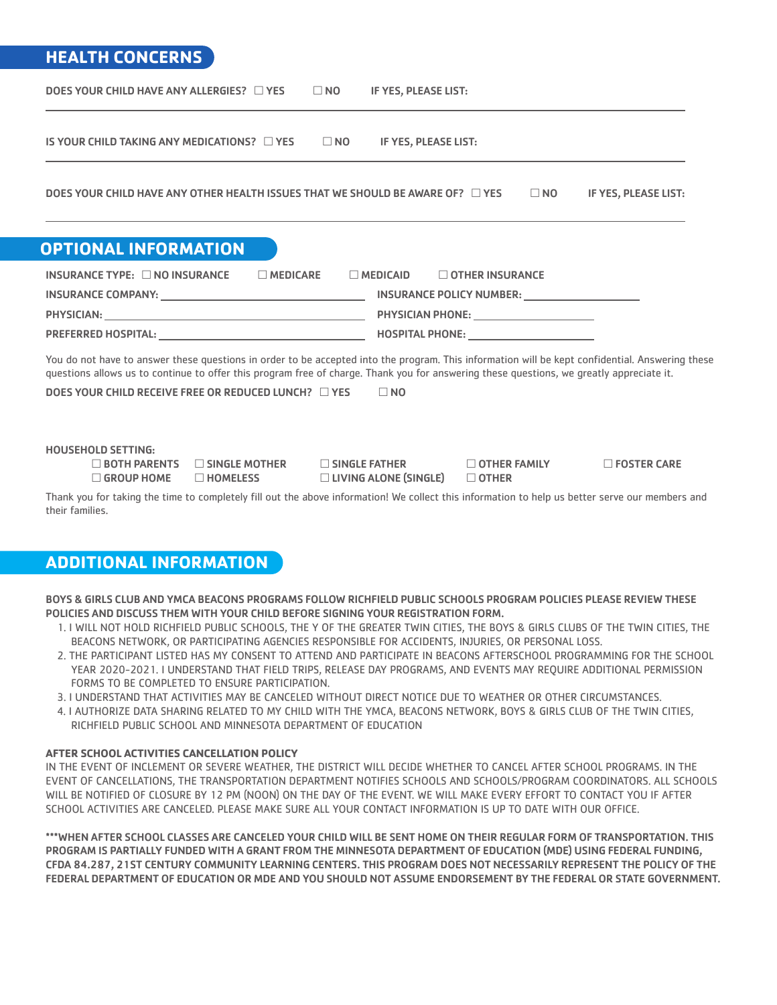## **HEALTH CONCERNS**

| DOES YOUR CHILD HAVE ANY ALLERGIES? $\Box$ YES<br>$\Box$ NO<br>IF YES, PLEASE LIST:                                                                                                                                                                                                         |
|---------------------------------------------------------------------------------------------------------------------------------------------------------------------------------------------------------------------------------------------------------------------------------------------|
| IS YOUR CHILD TAKING ANY MEDICATIONS? $\Box$ YES<br>$\square$ NO<br>IF YES, PLEASE LIST:                                                                                                                                                                                                    |
| DOES YOUR CHILD HAVE ANY OTHER HEALTH ISSUES THAT WE SHOULD BE AWARE OF? $\Box$ YES<br>$\Box$ NO<br>IF YES, PLEASE LIST:                                                                                                                                                                    |
| <b>OPTIONAL INFORMATION</b>                                                                                                                                                                                                                                                                 |
| INSURANCE TYPE: $\square$ NO INSURANCE<br>$\Box$ MEDICARE<br>$\Box$ MEDICAID<br>$\Box$ OTHER INSURANCE                                                                                                                                                                                      |
|                                                                                                                                                                                                                                                                                             |
|                                                                                                                                                                                                                                                                                             |
|                                                                                                                                                                                                                                                                                             |
| You do not have to answer these questions in order to be accepted into the program. This information will be kept confidential. Answering these<br>questions allows us to continue to offer this program free of charge. Thank you for answering these questions, we greatly appreciate it. |
| DOES YOUR CHILD RECEIVE FREE OR REDUCED LUNCH? $\Box$ YES<br>$\Box$ NO                                                                                                                                                                                                                      |
|                                                                                                                                                                                                                                                                                             |
| <b>HOUSEHOLD SETTING:</b><br>$\Box$ BOTH PARENTS<br>$\Box$ SINGLE MOTHER<br>$\Box$ SINGLE FATHER<br>$\Box$ OTHER FAMILY<br>$\Box$ FOSTER CARE<br>$\Box$ LIVING ALONE (SINGLE)<br>$\Box$ GROUP HOME<br>$\Box$ HOMELESS<br>$\Box$ OTHER                                                       |
| Thank you for taking the time to completely fill out the above information! We collect this information to help us better serve our members and<br>their families.                                                                                                                          |

## **ADDITIONAL INFORMATION**

BOYS & GIRLS CLUB AND YMCA BEACONS PROGRAMS FOLLOW RICHFIELD PUBLIC SCHOOLS PROGRAM POLICIES PLEASE REVIEW THESE POLICIES AND DISCUSS THEM WITH YOUR CHILD BEFORE SIGNING YOUR REGISTRATION FORM.

- 1. I WILL NOT HOLD RICHFIELD PUBLIC SCHOOLS, THE Y OF THE GREATER TWIN CITIES, THE BOYS & GIRLS CLUBS OF THE TWIN CITIES, THE BEACONS NETWORK, OR PARTICIPATING AGENCIES RESPONSIBLE FOR ACCIDENTS, INJURIES, OR PERSONAL LOSS.
- 2. THE PARTICIPANT LISTED HAS MY CONSENT TO ATTEND AND PARTICIPATE IN BEACONS AFTERSCHOOL PROGRAMMING FOR THE SCHOOL YEAR 2020-2021. I UNDERSTAND THAT FIELD TRIPS, RELEASE DAY PROGRAMS, AND EVENTS MAY REQUIRE ADDITIONAL PERMISSION FORMS TO BE COMPLETED TO ENSURE PARTICIPATION.
- 3. I UNDERSTAND THAT ACTIVITIES MAY BE CANCELED WITHOUT DIRECT NOTICE DUE TO WEATHER OR OTHER CIRCUMSTANCES.
- 4. I AUTHORIZE DATA SHARING RELATED TO MY CHILD WITH THE YMCA, BEACONS NETWORK, BOYS & GIRLS CLUB OF THE TWIN CITIES, RICHFIELD PUBLIC SCHOOL AND MINNESOTA DEPARTMENT OF EDUCATION

#### **AFTER SCHOOL ACTIVITIES CANCELLATION POLICY**

IN THE EVENT OF INCLEMENT OR SEVERE WEATHER, THE DISTRICT WILL DECIDE WHETHER TO CANCEL AFTER SCHOOL PROGRAMS. IN THE EVENT OF CANCELLATIONS, THE TRANSPORTATION DEPARTMENT NOTIFIES SCHOOLS AND SCHOOLS/PROGRAM COORDINATORS. ALL SCHOOLS WILL BE NOTIFIED OF CLOSURE BY 12 PM (NOON) ON THE DAY OF THE EVENT. WE WILL MAKE EVERY EFFORT TO CONTACT YOU IF AFTER SCHOOL ACTIVITIES ARE CANCELED. PLEASE MAKE SURE ALL YOUR CONTACT INFORMATION IS UP TO DATE WITH OUR OFFICE.

\*\*\*WHEN AFTER SCHOOL CLASSES ARE CANCELED YOUR CHILD WILL BE SENT HOME ON THEIR REGULAR FORM OF TRANSPORTATION. THIS PROGRAM IS PARTIALLY FUNDED WITH A GRANT FROM THE MINNESOTA DEPARTMENT OF EDUCATION (MDE) USING FEDERAL FUNDING, CFDA 84.287, 21ST CENTURY COMMUNITY LEARNING CENTERS. THIS PROGRAM DOES NOT NECESSARILY REPRESENT THE POLICY OF THE FEDERAL DEPARTMENT OF EDUCATION OR MDE AND YOU SHOULD NOT ASSUME ENDORSEMENT BY THE FEDERAL OR STATE GOVERNMENT.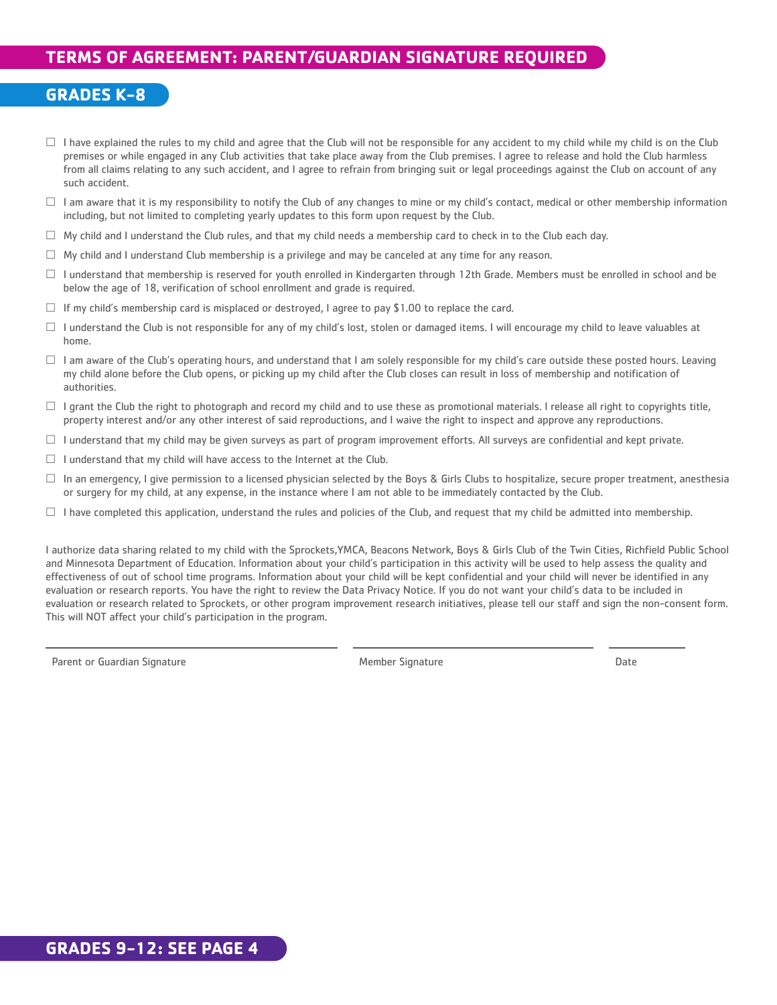## **TERMS OF AGREEMENT: PARENT/GUARDIAN SIGNATURE REQUIRED**

## **GRADES K-8**

- $\Box$  I have explained the rules to my child and agree that the Club will not be responsible for any accident to my child while my child is on the Club premises or while engaged in any Club activities that take place away from the Club premises. I agree to release and hold the Club harmless from all claims relating to any such accident, and I agree to refrain from bringing suit or legal proceedings against the Club on account of any such accident.
- $\Box$  I am aware that it is my responsibility to notify the Club of any changes to mine or my child's contact, medical or other membership information including, but not limited to completing yearly updates to this form upon request by the Club.
- $\Box$  My child and I understand the Club rules, and that my child needs a membership card to check in to the Club each day.
- $\Box$  My child and I understand Club membership is a privilege and may be canceled at any time for any reason.
- $\Box$  I understand that membership is reserved for youth enrolled in Kindergarten through 12th Grade. Members must be enrolled in school and be below the age of 18, verification of school enrollment and grade is required.
- $\Box$  If my child's membership card is misplaced or destroyed, I agree to pay \$1.00 to replace the card.
- $\Box$  I understand the Club is not responsible for any of my child's lost, stolen or damaged items. I will encourage my child to leave valuables at home.
- $\Box$  I am aware of the Club's operating hours, and understand that I am solely responsible for my child's care outside these posted hours. Leaving my child alone before the Club opens, or picking up my child after the Club closes can result in loss of membership and notification of authorities.
- $\Box$  I grant the Club the right to photograph and record my child and to use these as promotional materials. I release all right to copyrights title, property interest and/or any other interest of said reproductions, and I waive the right to inspect and approve any reproductions.
- $\Box$  I understand that my child may be given surveys as part of program improvement efforts. All surveys are confidential and kept private.
- $\Box$  I understand that my child will have access to the Internet at the Club.
- $\Box$  In an emergency, I give permission to a licensed physician selected by the Boys & Girls Clubs to hospitalize, secure proper treatment, anesthesia or surgery for my child, at any expense, in the instance where I am not able to be immediately contacted by the Club.
- $\Box$  I have completed this application, understand the rules and policies of the Club, and request that my child be admitted into membership.

I authorize data sharing related to my child with the Sprockets,YMCA, Beacons Network, Boys & Girls Club of the Twin Cities, Richfield Public School and Minnesota Department of Education. Information about your child's participation in this activity will be used to help assess the quality and effectiveness of out of school time programs. Information about your child will be kept confidential and your child will never be identified in any evaluation or research reports. You have the right to review the Data Privacy Notice. If you do not want your child's data to be included in evaluation or research related to Sprockets, or other program improvement research initiatives, please tell our staff and sign the non-consent form. This will NOT affect your child's participation in the program.

Parent or Guardian Signature and Date of Member Signature Member Signature and Date of Date